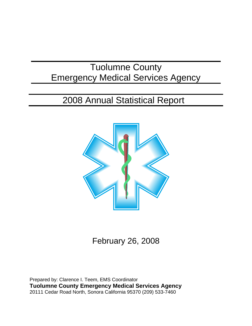## Tuolumne County Emergency Medical Services Agency

# 2008 Annual Statistical Report



February 26, 2008

Prepared by: Clarence I. Teem, EMS Coordinator **Tuolumne County Emergency Medical Services Agency** 20111 Cedar Road North, Sonora California 95370 (209) 533-7460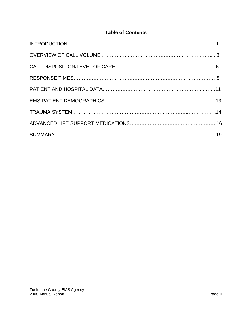## **Table of Contents**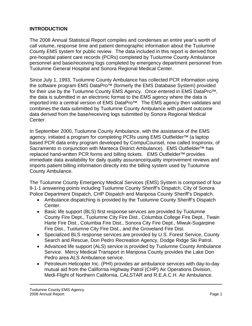#### **INTRODUCTION**

The 2008 Annual Statistical Report compiles and condenses an entire year's worth of call volume, response time and patient demographic information about the Tuolumne County EMS system for public review. The data included in this report is derived from pre-hospital patient care records (PCRs) completed by Tuolumne County Ambulance personnel and base/receiving logs completed by emergency department personnel from Tuolumne General Hospital and Sonora Regional Medical Center.

Since July 1, 1993, Tuolumne County Ambulance has collected PCR information using the software program EMS DataPro<sup>™</sup> (formerly the EMS Database System) provided for their use by the Tuolumne County EMS Agency. Once entered in EMS DataPro<sup>™</sup>, the data is submitted in an electronic format to the EMS agency where the data is imported into a central version of EMS DataPro<sup>™</sup>. The EMS agency then validates and combines the data submitted by Tuolumne County Ambulance with patient outcome data derived from the base/receiving logs submitted by Sonora Regional Medical Center.

In September 2000, Tuolumne County Ambulance, with the assistance of the EMS agency, initiated a program for completing PCRs using EMS Outfielder<sup>™</sup> (a laptop based PCR data entry program developed by CompuCounsel, now called Inspironix, of Sacramento in conjunction with Manteca District Ambulance). EMS Outfielder<sup>™</sup> has replaced hand-written PCR forms and billing tickets. EMS Outfielder<sup>™</sup> provides immediate data availability for daily quality assurance/quality improvement reviews and imports patient billing information directly into the billing system used by Tuolumne County Ambulance.

The Tuolumne County Emergency Medical Services (EMS) System is comprised of four 9-1-1 answering points including Tuolumne County Sheriff's Dispatch, City of Sonora Police Department Dispatch, CHP Dispatch and Mariposa County Sheriff's Dispatch.

- Ambulance dispatching is provided by the Tuolumne County Sheriff's Dispatch Center.
- Basic life support (BLS) first response services are provided by Tuolumne County Fire Dept., Tuolumne City Fire Dist., Columbia College Fire Dept., Twain Harte Fire Dist., Columbia Fire Dist., Sonora City Fire Dept., Miwuk-Sugarpine Fire Dist., Tuolumne City Fire Dist., and the Groveland Fire Dist.
- Specialized BLS response services are provided by U.S. Forest Service, County Search and Rescue, Don Pedro Recreation Agency, Dodge Ridge Ski Patrol.
- Advanced life support (ALS) service is provided by Tuolumne County Ambulance Service. Mercy Medical Transport in Mariposa County provides the Lake Don Pedro area ALS Ambulance service.
- Petroleum Helicopter Inc. (PHI) provides air ambulance services with day-to-day mutual aid from the California Highway Patrol (CHP) Air Operations Division, Medi-Flight of Northern California, CALSTAR and R.E.A.C.H. Air Ambulance.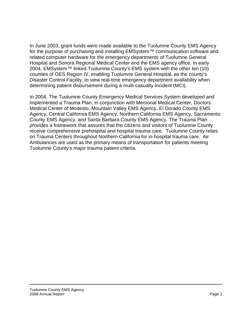In June 2003, grant funds were made available to the Tuolumne County EMS Agency for the purpose of purchasing and installing EMSystem™ communication software and related computer hardware for the emergency departments of Tuolumne General Hospital and Sonora Regional Medical Center and the EMS agency office. In early 2004, EMSystem™ linked Tuolumne County's EMS system with the other ten (10) counties of OES Region IV, enabling Tuolumne General Hospital, as the county's Disaster Control Facility, to view real-time emergency department availability when determining patient disbursement during a multi-casualty incident (MCI).

In 2004, The Tuolumne County Emergency Medical Services System developed and implemented a Trauma Plan, in conjunction with Memorial Medical Center, Doctors Medical Center of Modesto, Mountain Valley EMS Agency, El Dorado County EMS Agency, Central California EMS Agency, Northern California EMS Agency, Sacramento County EMS Agency, and Santa Barbara County EMS Agency. The Trauma Plan provides a framework that assures that the citizens and visitors of Tuolumne County receive comprehensive prehospital and hospital trauma care. Tuolumne County relies on Trauma Centers throughout Northern California for in-hospital trauma care. Air Ambulances are used as the primary means of transportation for patients meeting Tuolumne County's major trauma patient criteria.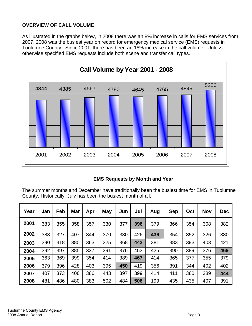## **OVERVIEW OF CALL VOLUME**

As illustrated in the graphs below, in 2008 there was an 8% increase in calls for EMS services from 2007. 2008 was the busiest year on record for emergency medical service (EMS) requests in Tuolumne County. Since 2001, there has been an 18% increase in the call volume. Unless otherwise specified EMS requests include both scene and transfer call types.



#### **EMS Requests by Month and Year**

The summer months and December have traditionally been the busiest time for EMS in Tuolumne County. Historically, July has been the busiest month of all.

| Year | Jan | Feb | <b>Mar</b> | Apr | May | Jun | Jul | Aug | <b>Sep</b> | Oct | <b>Nov</b> | <b>Dec</b> |
|------|-----|-----|------------|-----|-----|-----|-----|-----|------------|-----|------------|------------|
| 2001 | 383 | 355 | 358        | 357 | 330 | 377 | 396 | 379 | 366        | 354 | 308        | 382        |
| 2002 | 383 | 327 | 407        | 344 | 370 | 330 | 426 | 436 | 354        | 352 | 326        | 330        |
| 2003 | 390 | 318 | 380        | 363 | 325 | 368 | 442 | 381 | 383        | 393 | 403        | 421        |
| 2004 | 392 | 397 | 385        | 337 | 391 | 376 | 453 | 425 | 390        | 389 | 376        | 469        |
| 2005 | 363 | 369 | 399        | 354 | 414 | 389 | 467 | 414 | 365        | 377 | 355        | 379        |
| 2006 | 379 | 396 | 428        | 403 | 395 | 450 | 419 | 356 | 391        | 344 | 402        | 402        |
| 2007 | 407 | 373 | 406        | 386 | 443 | 397 | 399 | 414 | 411        | 380 | 389        | 444        |
| 2008 | 481 | 486 | 480        | 383 | 502 | 484 | 506 | 199 | 435        | 435 | 407        | 391        |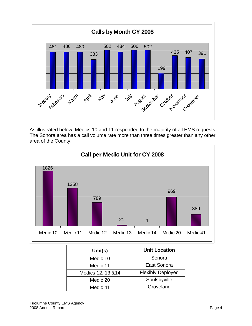

As illustrated below, Medics 10 and 11 responded to the majority of all EMS requests. The Sonora area has a call volume rate more than three times greater than any other area of the County.



| Unit(s)            | <b>Unit Location</b>     |
|--------------------|--------------------------|
| Medic 10           | Sonora                   |
| Medic 11           | East Sonora              |
| Medics 12, 13 & 14 | <b>Flexibly Deployed</b> |
| Medic 20           | Soulsbyville             |
| Medic 41           | Groveland                |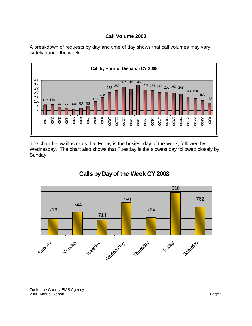#### **Call Volume 2008**

A breakdown of requests by day and time of day shows that call volumes may vary widely during the week.



The chart below illustrates that Friday is the busiest day of the week, followed by Wednesday. The chart also shows that Tuesday is the slowest day followed closely by Sunday.

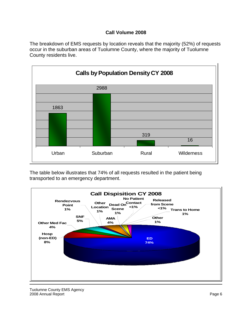#### **Call Volume 2008**

The breakdown of EMS requests by location reveals that the majority (52%) of requests occur in the suburban areas of Tuolumne County, where the majority of Tuolumne County residents live.



The table below illustrates that 74% of all requests resulted in the patient being transported to an emergency department.



Tuolumne County EMS Agency 2008 Annual Report Page 6 November 2008 Annual Report Page 6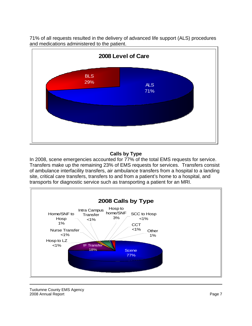71% of all requests resulted in the delivery of advanced life support (ALS) procedures and medications administered to the patient.



#### **Calls by Type**

In 2008, scene emergencies accounted for 77% of the total EMS requests for service. Transfers make up the remaining 23% of EMS requests for services. Transfers consist of ambulance interfacility transfers, air ambulance transfers from a hospital to a landing site, critical care transfers, transfers to and from a patient's home to a hospital, and transports for diagnostic service such as transporting a patient for an MRI.



Tuolumne County EMS Agency 2008 Annual Report Page 7 No. 2008 Annual Report Page 7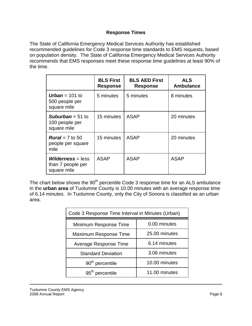#### **Response Times**

The State of California Emergency Medical Services Authority has established recommended guidelines for Code 3 response time standards to EMS requests, based on population density. The State of California Emergency Medical Services Authority recommends that EMS responses meet these response time guidelines at least 90% of the time.

|                                                                     | <b>BLS First</b><br><b>Response</b> | <b>BLS AED First</b><br><b>Response</b> | <b>ALS</b><br><b>Ambulance</b> |
|---------------------------------------------------------------------|-------------------------------------|-----------------------------------------|--------------------------------|
| <b>Urban</b> = 101 to<br>500 people per<br>square mile              | 5 minutes                           | 5 minutes                               | 8 minutes                      |
| <b>Suburban</b> = 51 to<br>100 people per<br>square mile            | 15 minutes                          | ASAP                                    | 20 minutes                     |
| <b>Rural</b> = 7 to 50<br>people per square<br>mile                 | 15 minutes                          | ASAP                                    | 20 minutes                     |
| <b><i>Wilderness</i></b> = less<br>than 7 people per<br>square mile | <b>ASAP</b>                         | <b>ASAP</b>                             | <b>ASAP</b>                    |

The chart below shows the  $90<sup>th</sup>$  percentile Code 3 response time for an ALS ambulance in the **urban area** of Tuolumne County is 10.00 minutes with an average response time of 6.14 minutes. In Tuolumne County, only the City of Sonora is classified as an urban area.

| Code 3 Response Time Interval in Minutes (Urban) |               |  |  |
|--------------------------------------------------|---------------|--|--|
| Minimum Response Time                            | 0.00 minutes  |  |  |
| Maximum Response Time                            | 25.00 minutes |  |  |
| Average Response Time                            | 6.14 minutes  |  |  |
| <b>Standard Deviation</b>                        | 3.06 minutes  |  |  |
| 90 <sup>th</sup> percentile                      | 10.00 minutes |  |  |
| 95 <sup>th</sup> percentile                      | 11.00 minutes |  |  |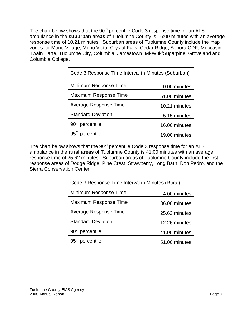The chart below shows that the  $90<sup>th</sup>$  percentile Code 3 response time for an ALS ambulance in the **suburban areas** of Tuolumne County is 16:00 minutes with an average response time of 10.21 minutes. Suburban areas of Tuolumne County include the map zones for Mono Village, Mono Vista, Crystal Falls, Cedar Ridge, Sonora CDF, Moccasin, Twain Harte, Tuolumne City, Columbia, Jamestown, Mi-Wuk/Sugarpine, Groveland and Columbia College.

| Code 3 Response Time Interval in Minutes (Suburban) |               |  |  |  |
|-----------------------------------------------------|---------------|--|--|--|
| Minimum Response Time                               | 0.00 minutes  |  |  |  |
| Maximum Response Time                               | 51.00 minutes |  |  |  |
| Average Response Time                               | 10.21 minutes |  |  |  |
| <b>Standard Deviation</b>                           | 5.15 minutes  |  |  |  |
| 90 <sup>th</sup> percentile                         | 16.00 minutes |  |  |  |
| 95 <sup>th</sup> percentile                         | 19.00 minutes |  |  |  |

The chart below shows that the  $90<sup>th</sup>$  percentile Code 3 response time for an ALS ambulance in the **rural areas** of Tuolumne County is 41:00 minutes with an average response time of 25.62 minutes. Suburban areas of Tuolumne County include the first response areas of Dodge Ridge, Pine Crest, Strawberry, Long Barn, Don Pedro, and the Sierra Conservation Center.

| Code 3 Response Time Interval in Minutes (Rural) |               |  |  |  |
|--------------------------------------------------|---------------|--|--|--|
| Minimum Response Time                            | 4.00 minutes  |  |  |  |
| Maximum Response Time                            | 86.00 minutes |  |  |  |
| Average Response Time                            | 25.62 minutes |  |  |  |
| <b>Standard Deviation</b>                        | 12.26 minutes |  |  |  |
| 90 <sup>th</sup> percentile                      | 41.00 minutes |  |  |  |
| 95 <sup>th</sup> percentile                      | 51.00 minutes |  |  |  |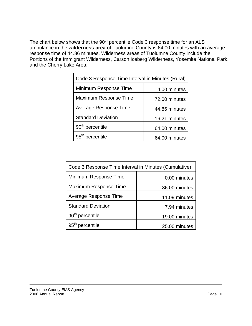The chart below shows that the  $90<sup>th</sup>$  percentile Code 3 response time for an ALS ambulance in the **wilderness area** of Tuolumne County is 64:00 minutes with an average response time of 44.86 minutes. Wilderness areas of Tuolumne County include the Portions of the Immigrant Wilderness, Carson Iceberg Wilderness, Yosemite National Park, and the Cherry Lake Area.

| Code 3 Response Time Interval in Minutes (Rural) |               |  |  |  |
|--------------------------------------------------|---------------|--|--|--|
| Minimum Response Time                            | 4.00 minutes  |  |  |  |
| Maximum Response Time                            | 72.00 minutes |  |  |  |
| Average Response Time                            | 44.86 minutes |  |  |  |
| <b>Standard Deviation</b>                        | 16.21 minutes |  |  |  |
| 90 <sup>th</sup> percentile                      | 64.00 minutes |  |  |  |
| 95 <sup>th</sup> percentile                      | 64.00 minutes |  |  |  |

| Code 3 Response Time Interval in Minutes (Cumulative) |               |  |  |
|-------------------------------------------------------|---------------|--|--|
| Minimum Response Time                                 | 0.00 minutes  |  |  |
| Maximum Response Time                                 | 86.00 minutes |  |  |
| Average Response Time                                 | 11.09 minutes |  |  |
| <b>Standard Deviation</b>                             | 7.94 minutes  |  |  |
| 90 <sup>th</sup> percentile                           | 19.00 minutes |  |  |
| 95 <sup>th</sup> percentile                           | 25.00 minutes |  |  |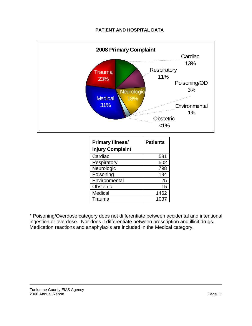#### **PATIENT AND HOSPITAL DATA**



| <b>Primary Illness/</b> | <b>Patients</b> |
|-------------------------|-----------------|
| <b>Injury Complaint</b> |                 |
| Cardiac                 | 581             |
| Respiratory             | 502             |
| Neurologic              | 798             |
| Poisoning               | 134             |
| Environmental           | 25              |
| <b>Obstetric</b>        | 15              |
| Medical                 | 1462            |
| Trauma                  | 1037            |

\* Poisoning/Overdose category does not differentiate between accidental and intentional ingestion or overdose. Nor does it differentiate between prescription and illicit drugs. Medication reactions and anaphylaxis are included in the Medical category.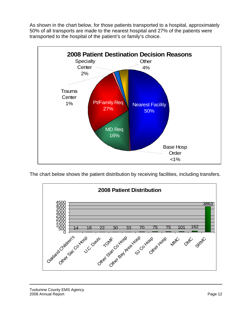As shown in the chart below, for those patients transported to a hospital, approximately 50% of all transports are made to the nearest hospital and 27% of the patients were transported to the hospital of the patient's or family's choice.



The chart below shows the patient distribution by receiving facilities, including transfers.

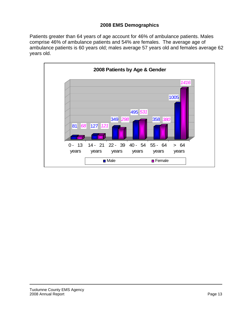#### **2008 EMS Demographics**

Patients greater than 64 years of age account for 46% of ambulance patients. Males comprise 46% of ambulance patients and 54% are females. The average age of ambulance patients is 60 years old; males average 57 years old and females average 62 years old.

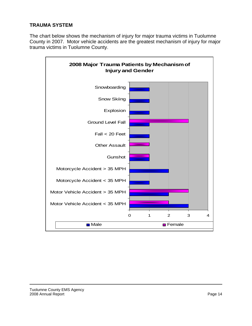#### **TRAUMA SYSTEM**

The chart below shows the mechanism of injury for major trauma victims in Tuolumne County in 2007. Motor vehicle accidents are the greatest mechanism of injury for major trauma victims in Tuolumne County.

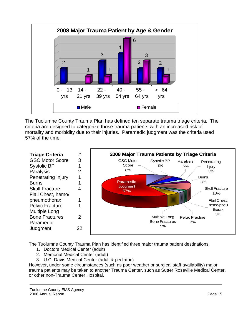

 The Tuolumne County Trauma Plan has defined ten separate trauma triage criteria. The criteria are designed to categorize those trauma patients with an increased risk of mortality and morbidity due to their injuries. Paramedic judgment was the criteria used 57% of the time.



The Tuolumne County Trauma Plan has identified three major trauma patient destinations.

- 1. Doctors Medical Center (adult)
- 2. Memorial Medical Center (adult)
- 3. U.C. Davis Medical Center (adult & pediatric)

However, under some circumstances (such as poor weather or surgical staff availability) major trauma patients may be taken to another Trauma Center, such as Sutter Roseville Medical Center, or other non-Trauma Center Hospital.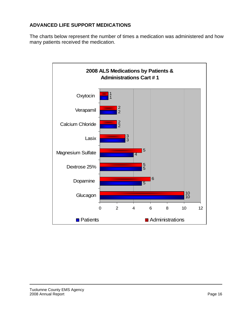## **ADVANCED LIFE SUPPORT MEDICATIONS**

The charts below represent the number of times a medication was administered and how many patients received the medication.

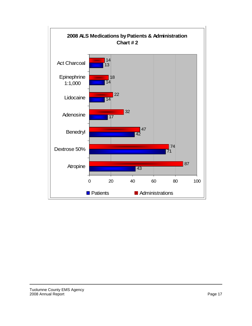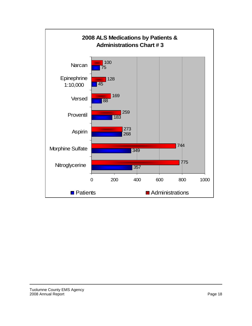